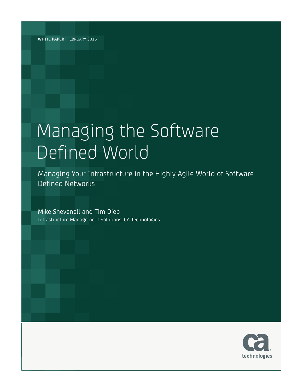**WHITE PAPER** | FEBRUARY 2015

# Managing the Software Defined World

Managing Your Infrastructure in the Highly Agile World of Software Defined Networks

Mike Shevenell and Tim Diep Infrastructure Management Solutions, CA Technologies

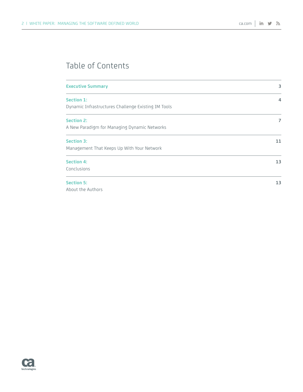# Table of Contents

| <b>Executive Summary</b>                            | 3  |
|-----------------------------------------------------|----|
| Section 1:                                          | 4  |
| Dynamic Infrastructures Challenge Existing IM Tools |    |
| <b>Section 2:</b>                                   | 7  |
| A New Paradigm for Managing Dynamic Networks        |    |
| <b>Section 3:</b>                                   | 11 |
| Management That Keeps Up With Your Network          |    |
| <b>Section 4:</b>                                   | 13 |
| Conclusions                                         |    |
| <b>Section 5:</b>                                   | 13 |
| About the Authors                                   |    |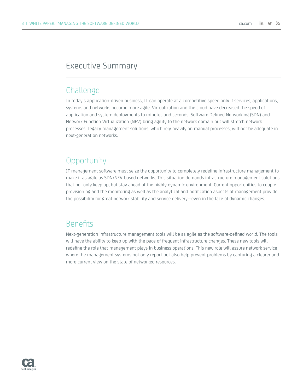# Executive Summary

# **Challenge**

In today's application-driven business, IT can operate at a competitive speed only if services, applications, systems and networks become more agile. Virtualization and the cloud have decreased the speed of application and system deployments to minutes and seconds. Software Defined Networking (SDN) and Network Function Virtualization (NFV) bring agility to the network domain but will stretch network processes. Legacy management solutions, which rely heavily on manual processes, will not be adequate in next-generation networks.

# **Opportunity**

IT management software must seize the opportunity to completely redefine infrastructure management to make it as agile as SDN/NFV-based networks. This situation demands infrastructure management solutions that not only keep up, but stay ahead of the highly dynamic environment. Current opportunities to couple provisioning and the monitoring as well as the analytical and notification aspects of management provide the possibility for great network stability and service delivery—even in the face of dynamic changes.

# Benefits

Next-generation infrastructure management tools will be as agile as the software-defined world. The tools will have the ability to keep up with the pace of frequent infrastructure changes. These new tools will redefine the role that management plays in business operations. This new role will assure network service where the management systems not only report but also help prevent problems by capturing a clearer and more current view on the state of networked resources.

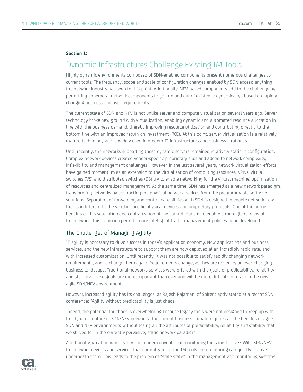#### **Section 1:**

# Dynamic Infrastructures Challenge Existing IM Tools

Highly dynamic environments composed of SDN-enabled components present numerous challenges to current tools. The frequency, scope and scale of configuration changes enabled by SDN exceed anything the network industry has seen to this point. Additionally, NFV-based components add to the challenge by permitting ephemeral network components to go into and out of existence dynamically—based on rapidly changing business and user requirements.

The current state of SDN and NFV is not unlike server and compute virtualization several years ago. Server technology broke new ground with virtualization, enabling dynamic and automated resource allocation in line with the business demand, thereby improving resource utilization and contributing directly to the bottom line with an improved return on investment (ROI). At this point, server virtualization is a relatively mature technology and is widely used in modern IT infrastructures and business strategies.

Until recently, the networks supporting these dynamic servers remained relatively static in configuration. Complex network devices created vendor-specific proprietary silos and added to network complexity, inflexibility and management challenges. However, in the last several years, network virtualization efforts have gained momentum as an extension to the virtualization of computing resources. VPNs, virtual switches (VS) and distributed switches (DS) try to enable networking for the virtual machine, optimization of resources and centralized management. At the same time, SDN has emerged as a new network paradigm, transforming networks by abstracting the physical network devices from the programmable software solutions. Separation of forwarding and control capabilities with SDN is designed to enable network flow that is indifferent to the vendor-specific physical devices and proprietary protocols. One of the prime benefits of this separation and centralization of the control plane is to enable a more global view of the network. This approach permits more intelligent traffic management policies to be developed.

#### The Challenges of Managing Agility

IT agility is necessary to drive success in today's application economy. New applications and business services, and the new infrastructure to support them are now deployed at an incredibly rapid rate, and with increased customization. Until recently, it was not possible to satisfy rapidly changing network requirements, and to change them again. Requirements change, as they are driven by an ever-changing business landscape. Traditional networks services were offered with the goals of predictability, reliability and stability. These goals are more important than ever and will be more difficult to retain in the new agile SDN/NFV environment.

However, increased agility has its challenges, as Rajesh Rajamani of Spirent aptly stated at a recent SDN conference: "Agility without predictability is just chaos."1

Indeed, the potential for chaos is overwhelming because legacy tools were not designed to keep up with the dynamic nature of SDN/NFV networks. The current business climate requires all the benefits of agile SDN and NFV environments without losing all the attributes of predictability, reliability and stability that we strived for in the currently pervasive, static network paradigm.

Additionally, great network agility can render conventional monitoring tools ineffective.<sup>2</sup> With SDN/NFV, the network devices and services that current-generation IM tools are monitoring can quickly change underneath them. This leads to the problem of "stale state" in the management and monitoring systems.

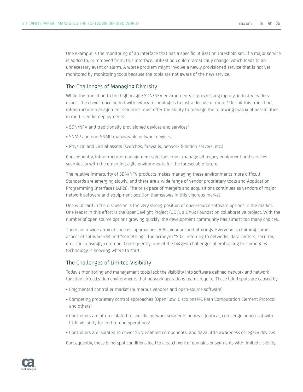One example is the monitoring of an interface that has a specific utilization threshold set. If a major service is added to, or removed from, this interface, utilization could dramatically change, which leads to an unnecessary event or alarm. A worse problem might involve a newly provisioned service that is not yet monitored by monitoring tools because the tools are not aware of the new service.

## The Challenges of Managing Diversity

While the transition to the highly agile SDN/NFV environments is progressing rapidly, industry leaders expect the coexistence period with legacy technologies to last a decade or more.<sup>3</sup> During this transition, infrastructure management solutions must offer the ability to manage the following matrix of possibilities in multi-vendor deployments:

- SDN/NFV and traditionally provisioned devices and services<sup>4</sup>
- SNMP and non-SNMP manageable network devices
- Physical and virtual assets (switches, firewalls, network function servers, etc.)

Consequently, infrastructure management solutions must manage all legacy equipment and services seamlessly with the emerging agile environments for the foreseeable future.

The relative immaturity of SDN/NFV products makes managing these environments more difficult. Standards are emerging slowly, and there are a wide range of vendor proprietary tools and Application Programming Interfaces (APIs). The brisk pace of mergers and acquisitions continues as vendors of major network software and equipment position themselves in this vigorous market.

One wild card in the discussion is the very strong position of open-source software options in the market. One leader in this effort is the OpenDaylight Project (ODL), a Linux Foundation collaborative project. With the number of open source options growing quickly, the development community has almost too many choices.

There are a wide array of choices, approaches, APIs, vendors and offerings. Everyone is claiming some aspect of software-defined "something"; the acronym "SDx" referring to networks, data centers, security, etc. is increasingly common. Consequently, one of the biggest challenges of embracing this emerging technology is knowing where to start.

## The Challenges of Limited Visibility

Today's monitoring and management tools lack the visibility into software defined network and network function virtualization environments that network operations teams require. These blind spots are caused by:

- Fragmented controller market (numerous vendors and open-source software)
- Competing proprietary control approaches (OpenFlow, Cisco onePK, Path Computation Element Protocol and others)
- Controllers are often isolated to specific network segments or areas (optical, core, edge or access) with little visibility for end-to-end operations<sup>5</sup>
- Controllers are isolated to newer SDN enabled components, and have little awareness of legacy devices

Consequently, these blind-spot conditions lead to a patchwork of domains or segments with limited visibility.

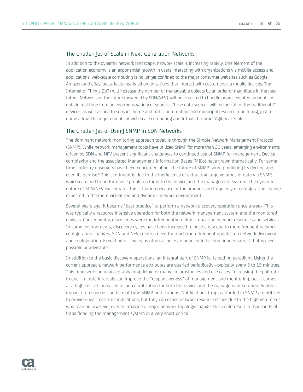## The Challenges of Scale in Next-Generation Networks

In addition to the dynamic network landscape, network scale is increasing rapidly. One element of the application economy is an exponential growth in users interacting with organizations via mobile access and applications. web-scale computing is no longer confined to the major consumer websites such as Google, Amazon and eBay, but affects nearly all organizations that interact with customers via mobile devices. The Internet of Things (IoT) will increase the number of manageable objects by an order of magnitude in the near future. Networks of the future (powered by SDN/NFV) will be expected to handle unprecedented amounts of data in real time from an enormous variety of sources. These data sources will include all of the traditional IT devices, as well as health sensors, home and traffic automation, and municipal resource monitoring, just to name a few. The requirements of web-scale computing and IoT will become "Agility at Scale."

# The Challenges of Using SNMP in SDN Networks

The dominant network monitoring approach today is through the Simple Network Management Protocol (SNMP). While network management tools have utilized SNMP for more than 20 years, emerging environments driven by SDN and NFV present significant challenges to continued use of SNMP for management. Device complexity and the associated Management Information Bases (MIBs) have grown dramatically. For some time, industry observers have been concerned about the future of SNMP, some predicting its decline and even its demise.<sup>6</sup> This sentiment is due to the inefficiency of extracting large volumes of data via SNMP, which can lead to performance problems for both the device and the management system. The dynamic nature of SDN/NFV exacerbates this situation because of the amount and frequency of configuration change expected in the more virtualized and dynamic network environment.

Several years ago, it became "best practice" to perform a network discovery operation once a week. This was typically a resource intensive operation for both the network management system and the monitored devices. Consequently, discoveries were run infrequently to limit impact on network resources and services. In some environments, discovery cycles have been increased to once a day due to more frequent network configuration changes. SDN and NFV create a need for much more frequent updates on network discovery and configuration. Executing discovery as often as once an hour could become inadequate, if that is even possible or advisable.

In addition to the basic discovery operations, an integral part of SNMP is its polling paradigm. Using the current approach, network performance attributes are queried periodically—typically every 5 to 15 minutes. This represents an unacceptably long delay for many circumstances and use cases. Increasing the poll rate to one—minute intervals can improve the "responsiveness" of management and monitoring, but it comes at a high cost of increased resource utilization for both the device and the management solution. Another impact on resources can be real-time SNMP notifications. Notifications (traps) afforded in SNMP are utilized to provide near real-time indications, but they can cause network resource issues due to the high volume of what can be low-level events. Imagine a major network topology change: this could result in thousands of traps flooding the management system in a very short period.

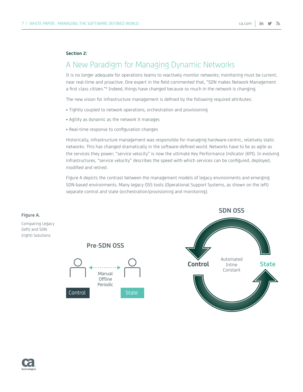#### **Section 2:**

# A New Paradigm for Managing Dynamic Networks

It is no longer adequate for operations teams to reactively monitor networks; monitoring must be current, near real-time and proactive. One expert in the field commented that, "SDN makes Network Management a first class citizen."<sup>6</sup> Indeed, things have changed because so much in the network is changing.

The new vision for infrastructure management is defined by the following required attributes:

- Tightly coupled to network operations, orchestration and provisioning
- Agility as dynamic as the network it manages
- Real-time response to configuration changes

Historically, infrastructure management was responsible for managing hardware-centric, relatively static networks. This has changed dramatically in the software-defined world. Networks have to be as agile as the services they power; "service velocity" is now the ultimate Key Performance Indicator (KPI). In evolving infrastructures, "service velocity" describes the speed with which services can be configured, deployed, modified and retired.

Figure A depicts the contrast between the management models of legacy environments and emerging SDN-based environments. Many legacy OSS tools (Operational Support Systems, as shown on the left) separate control and state (orchestration/provisioning and monitoring).



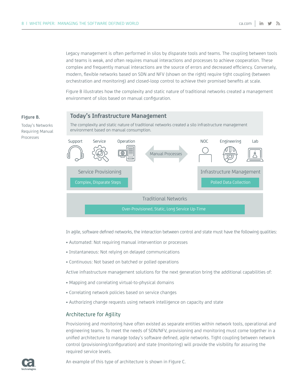Legacy management is often performed in silos by disparate tools and teams. The coupling between tools and teams is weak, and often requires manual interactions and processes to achieve cooperation. These complex and frequently manual interactions are the source of errors and decreased efficiency. Conversely, modern, flexible networks based on SDN and NFV (shown on the right) require tight coupling (between orchestration and monitoring) and closed-loop control to achieve their promised benefits at scale.

Figure B illustrates how the complexity and static nature of traditional networks created a management environment of silos based on manual configuration.

## **Today's Infrastructure Management**

The complexity and static nature of traditional networks created a silo infrastructure management environment based on manual consumption.



In agile, software defined networks, the interaction between control and state must have the following qualities:

- Automated: Not requiring manual intervention or processes
- Instantaneous: Not relying on delayed communications
- Continuous: Not based on batched or polled operations

Active infrastructure management solutions for the next generation bring the additional capabilities of:

- Mapping and correlating virtual-to-physical domains
- Correlating network policies based on service changes
- Authorizing change requests using network intelligence on capacity and state

## Architecture for Agility

Provisioning and monitoring have often existed as separate entities within network tools, operational and engineering teams. To meet the needs of SDN/NFV, provisioning and monitoring must come together in a unified architecture to manage today's software defined, agile networks. Tight coupling between network control (provisioning/configuration) and state (monitoring) will provide the visibility for assuring the required service levels.

**Figure B.**

Today's Networks Requiring Manual Processes

An example of this type of architecture is shown in Figure C.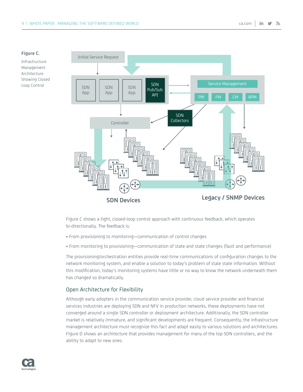#### **Figure C.**

Infrastructure Management Architecture Showing Closed Loop Control



Figure C shows a tight, closed-loop control approach with continuous feedback, which operates bi-directionally. The feedback is:

- From provisioning to monitoring—communication of control changes
- From monitoring to provisioning—communication of state and state changes (fault and performance)

The provisioning/orchestration entities provide real-time communications of configuration changes to the network monitoring system, and enable a solution to today's problem of stale state information. Without this modification, today's monitoring systems have little or no way to know the network underneath them has changed so dramatically.

## Open Architecture for Flexibility

Although early adopters in the communication service provider, cloud service provider and financial services industries are deploying SDN and NFV in production networks, these deployments have not converged around a single SDN controller or deployment architecture. Additionally, the SDN controller market is relatively immature, and significant developments are frequent. Consequently, the infrastructure management architecture must recognize this fact and adapt easily to various solutions and architectures. Figure D shows an architecture that provides management for many of the top SDN controllers, and the ability to adapt to new ones.

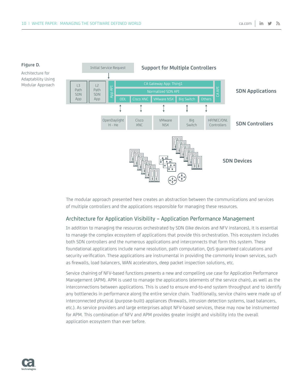

The modular approach presented here creates an abstraction between the communications and services of multiple controllers and the applications responsible for managing these resources.

# Architecture for Application Visibility – Application Performance Management

In addition to managing the resources orchestrated by SDN (like devices and NFV instances), it is essential to manage the complex ecosystem of applications that provide this orchestration. This ecosystem includes both SDN controllers and the numerous applications and interconnects that form this system. These foundational applications include name resolution, path computation, QoS guaranteed calculations and security verification. These applications are instrumental in providing the commonly known services, such as firewalls, load balancers, WAN accelerators, deep packet inspection solutions, etc.

Service chaining of NFV-based functions presents a new and compelling use case for Application Performance Management (APM). APM is used to manage the applications (elements of the service chain), as well as the interconnections between applications. This is used to ensure end-to-end system throughput and to identify any bottlenecks in performance along the entire service chain. Traditionally, service chains were made up of interconnected physical (purpose-built) appliances (firewalls, intrusion detection systems, load balancers, etc.). As service providers and large enterprises adopt NFV-based services, these may now be instrumented for APM. This combination of NFV and APM provides greater insight and visibility into the overall application ecosystem than ever before.

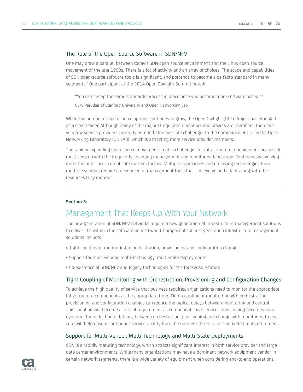## The Role of the Open-Source Software in SDN/NFV

One may draw a parallel between today's SDN open source environment and the Linux open source movement of the late 1990s. There is a lot of activity and an array of choices. The scope and capabilities of SDN open-source software tools is significant, and portends to become a de facto standard in many segments.7 One participant at the 2014 Open Daylight Summit noted:

"You can't keep the same standards process in place once you become more software based." 8 Guru Parulkar of Stanford University and Open Networking Lab

While the number of open source options continues to grow, the OpenDaylight (ODL) Project has emerged as a clear leader. Although many of the major IT equipment vendors and players are members, there are very few service providers currently enrolled. One possible challenger to the dominance of ODL is the Open Networking Laboratory (ON.LAB), which is attracting more service provider members.

The rapidly expanding open source movement creates challenges for infrastructure management because it must keep up with the frequently changing management and monitoring landscape. Continuously evolving immature interfaces complicate matters further. Multiple approaches and emerging technologies from multiple vendors require a new breed of management tools that can evolve and adapt along with the resources they monitor.

## **Section 3:**

# Management That Keeps Up With Your Network

The new generation of SDN/NFV networks require a new generation of infrastructure management solutions to deliver the value in the software-defined world. Components of next generation infrastructure management solutions include:

- Tight coupling of monitoring to orchestration, provisioning and configuration changes
- Support for multi-vendor, multi-technology, multi-state deployments
- Co-existence of SDN/NFV and legacy technologies for the foreseeable future

# Tight Coupling of Monitoring with Orchestration, Provisioning and Configuration Changes

To achieve the high quality of service that business requires, organizations need to monitor the appropriate infrastructure components at the appropriate time. Tight coupling of monitoring with orchestration, provisioning and configuration changes can reduce the typical delays between monitoring and control. This coupling will become a critical requirement as components and services provisioning becomes more dynamic. The reduction of latency between orchestration, provisioning and change with monitoring to near zero will help ensure continuous service quality from the moment the service is activated to its retirement.

## Support for Multi-Vendor, Multi-Technology and Multi-State Deployments

SDN is a rapidly maturing technology, which attracts significant interest in both service provider and large data center environments. While many organizations may have a dominant network equipment vendor in certain network segments, there is a wide variety of equipment when considering end-to-end operations.

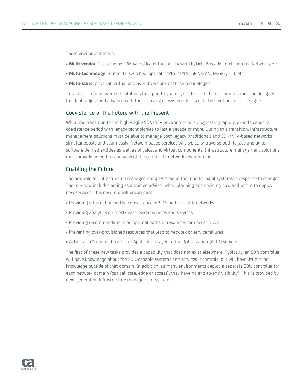These environments are:

- **Multi-vendor**: Cisco, Juniper, VMware, Alcatel-Lucent, Huawei, HP, Dell, Brocade, Intel, Extreme Networks, etc.
- **Multi-technology**: routed, L2 switched, optical, MPLS, MPLS LSP, VxLAN, NvGRE, STT, etc.
- **Multi-state**: physical, virtual and hybrid versions of these technologies

Infrastructure management solutions to support dynamic, multi-faceted environments must be designed to adapt, adjust and advance with the changing ecosystem. In a word, the solutions must be agile.

# Coexistence of the Future with the Present

While the transition to the highly agile SDN/NFV environments is progressing rapidly, experts expect a coexistence period with legacy technologies to last a decade or more. During this transition, infrastructure management solutions must be able to manage both legacy (traditional) and SDN/NFV-based networks simultaneously and seamlessly. Network-based services will typically traverse both legacy and agile, software defined entities as well as physical and virtual components. Infrastructure management solutions must provide an end-to-end view of the composite network environment.

## Enabling the Future

The new role for infrastructure management goes beyond the monitoring of systems in response to changes. The role now includes acting as a trusted advisor when planning and deciding how and where to deploy new services. This new role will encompass:

- Providing information on the co-existence of SDN and non-SDN networks
- Providing analytics on most/least used resources and services
- Providing recommendations on optimal paths or resources for new services
- Preventing over-provisioned resources that lead to network or service failures
- Acting as a "source of truth" for Application Layer Traffic Optimization (ALTO) servers

The first of these new tasks provides a capability that does not exist elsewhere. Typically, an SDN controller will have knowledge about the SDN-capable systems and services it controls, but will have little or no knowledge outside of that domain. In addition, as many environments deploy a separate SDN controller for each network domain (optical, core, edge or access), they have no end-to-end visibility<sup>4</sup>. This is provided by next-generation infrastructure management systems.

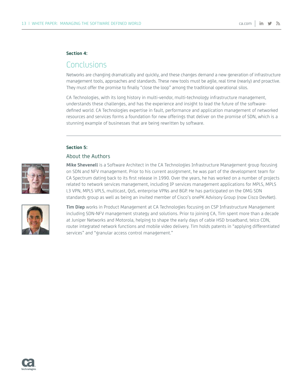#### **Section 4:**

# Conclusions

Networks are changing dramatically and quickly, and these changes demand a new generation of infrastructure management tools, approaches and standards. These new tools must be agile, real time (nearly) and proactive. They must offer the promise to finally "close the loop" among the traditional operational silos.

CA Technologies, with its long history in multi-vendor, multi-technology infrastructure management, understands these challenges, and has the experience and insight to lead the future of the softwaredefined world. CA Technologies expertise in fault, performance and application management of networked resources and services forms a foundation for new offerings that deliver on the promise of SDN, which is a stunning example of businesses that are being rewritten by software.

#### **Section 5:**

# About the Authors



**Mike Shevenell** is a Software Architect in the CA Technologies Infrastructure Management group focusing on SDN and NFV management. Prior to his current assignment, he was part of the development team for CA Spectrum dating back to its first release in 1990. Over the years, he has worked on a number of projects related to network services management, including IP services management applications for MPLS, MPLS L3 VPN, MPLS VPLS, multicast, QoS, enterprise VPNs and BGP. He has participated on the OMG SDN standards group as well as being an invited member of Cisco's onePK Advisory Group (now Cisco DevNet).



**Tim Diep** works in Product Management at CA Technologies focusing on CSP Infrastructure Management including SDN-NFV management strategy and solutions. Prior to joining CA, Tim spent more than a decade at Juniper Networks and Motorola, helping to shape the early days of cable HSD broadband, telco CDN, router integrated network functions and mobile video delivery. Tim holds patents in "applying differentiated services" and "granular access control management."